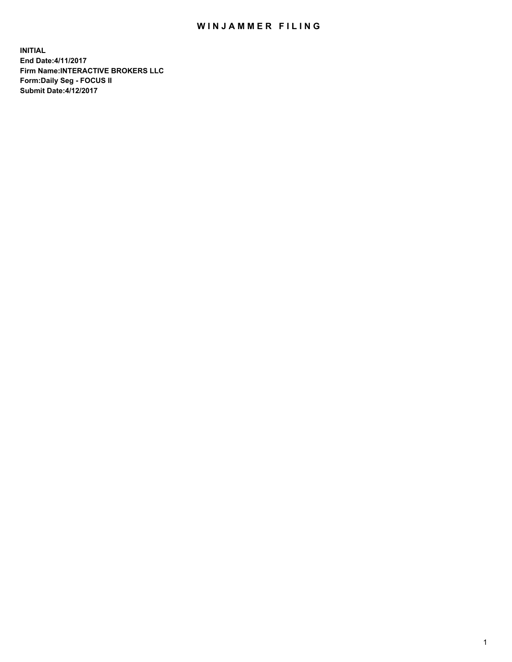## WIN JAMMER FILING

**INITIAL End Date:4/11/2017 Firm Name:INTERACTIVE BROKERS LLC Form:Daily Seg - FOCUS II Submit Date:4/12/2017**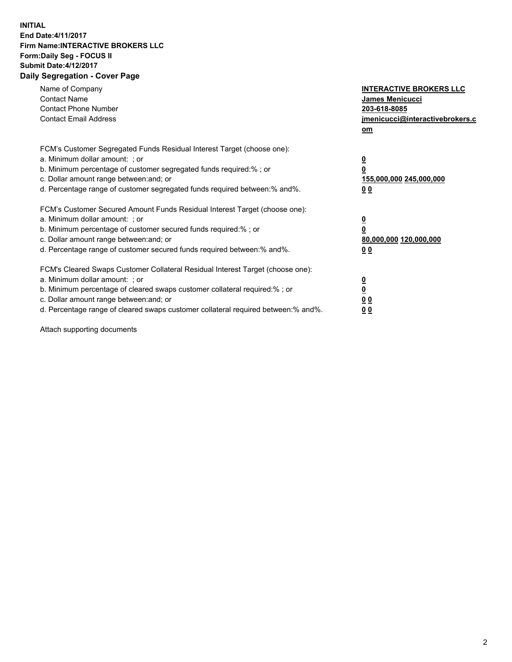## **INITIAL End Date:4/11/2017 Firm Name:INTERACTIVE BROKERS LLC Form:Daily Seg - FOCUS II Submit Date:4/12/2017 Daily Segregation - Cover Page**

| Name of Company<br><b>Contact Name</b><br><b>Contact Phone Number</b><br><b>Contact Email Address</b>                                                                                                                                                                                                                          | <b>INTERACTIVE BROKERS LLC</b><br><b>James Menicucci</b><br>203-618-8085<br>jmenicucci@interactivebrokers.c<br>om |
|--------------------------------------------------------------------------------------------------------------------------------------------------------------------------------------------------------------------------------------------------------------------------------------------------------------------------------|-------------------------------------------------------------------------------------------------------------------|
| FCM's Customer Segregated Funds Residual Interest Target (choose one):<br>a. Minimum dollar amount: ; or<br>b. Minimum percentage of customer segregated funds required:%; or<br>c. Dollar amount range between: and; or<br>d. Percentage range of customer segregated funds required between:% and%.                          | $\overline{\mathbf{0}}$<br>0<br>155,000,000 245,000,000<br>0 <sub>0</sub>                                         |
| FCM's Customer Secured Amount Funds Residual Interest Target (choose one):<br>a. Minimum dollar amount: ; or<br>b. Minimum percentage of customer secured funds required:%; or<br>c. Dollar amount range between: and; or<br>d. Percentage range of customer secured funds required between: % and %.                          | $\overline{\mathbf{0}}$<br>0<br>80,000,000 120,000,000<br>0 <sub>0</sub>                                          |
| FCM's Cleared Swaps Customer Collateral Residual Interest Target (choose one):<br>a. Minimum dollar amount: ; or<br>b. Minimum percentage of cleared swaps customer collateral required:% ; or<br>c. Dollar amount range between: and; or<br>d. Percentage range of cleared swaps customer collateral required between:% and%. | $\overline{\mathbf{0}}$<br>$\overline{\mathbf{0}}$<br>0 <sub>0</sub><br><u>00</u>                                 |

Attach supporting documents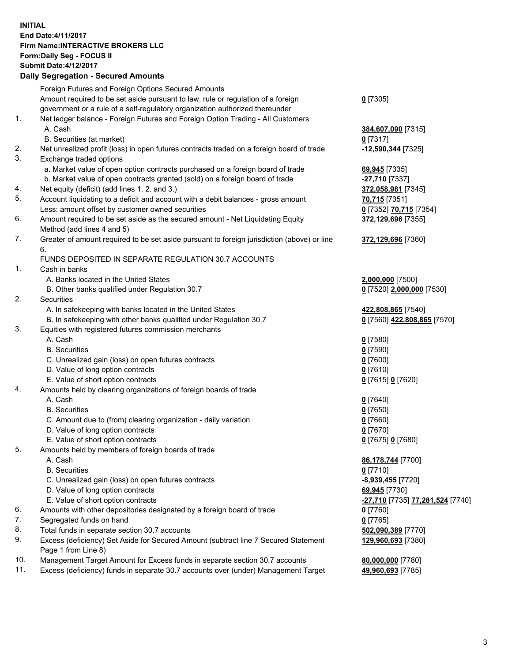## **INITIAL End Date:4/11/2017 Firm Name:INTERACTIVE BROKERS LLC Form:Daily Seg - FOCUS II Submit Date:4/12/2017 Daily Segregation - Secured Amounts**

|     | Dany Oogrogaach - Ocearea Amoanta                                                           |                                               |
|-----|---------------------------------------------------------------------------------------------|-----------------------------------------------|
|     | Foreign Futures and Foreign Options Secured Amounts                                         |                                               |
|     | Amount required to be set aside pursuant to law, rule or regulation of a foreign            | $0$ [7305]                                    |
|     | government or a rule of a self-regulatory organization authorized thereunder                |                                               |
| 1.  | Net ledger balance - Foreign Futures and Foreign Option Trading - All Customers             |                                               |
|     | A. Cash                                                                                     | 384,607,090 [7315]                            |
|     | B. Securities (at market)                                                                   | $0$ [7317]                                    |
| 2.  | Net unrealized profit (loss) in open futures contracts traded on a foreign board of trade   | 12,590,344 [7325]                             |
| 3.  | Exchange traded options                                                                     |                                               |
|     | a. Market value of open option contracts purchased on a foreign board of trade              | 69,945 [7335]                                 |
|     | b. Market value of open contracts granted (sold) on a foreign board of trade                | $-27,710$ [7337]                              |
| 4.  | Net equity (deficit) (add lines 1.2. and 3.)                                                | 372,058,981 [7345]                            |
| 5.  | Account liquidating to a deficit and account with a debit balances - gross amount           | 70,715 [7351]                                 |
|     | Less: amount offset by customer owned securities                                            | 0 [7352] 70,715 [7354]                        |
| 6.  | Amount required to be set aside as the secured amount - Net Liquidating Equity              | 372,129,696 [7355]                            |
|     | Method (add lines 4 and 5)                                                                  |                                               |
| 7.  | Greater of amount required to be set aside pursuant to foreign jurisdiction (above) or line | 372,129,696 [7360]                            |
|     | 6.                                                                                          |                                               |
|     | FUNDS DEPOSITED IN SEPARATE REGULATION 30.7 ACCOUNTS                                        |                                               |
| 1.  | Cash in banks                                                                               |                                               |
|     | A. Banks located in the United States                                                       | 2,000,000 [7500]                              |
|     | B. Other banks qualified under Regulation 30.7                                              | 0 [7520] 2,000,000 [7530]                     |
| 2.  | Securities                                                                                  |                                               |
|     | A. In safekeeping with banks located in the United States                                   | 422,808,865 [7540]                            |
|     | B. In safekeeping with other banks qualified under Regulation 30.7                          | 0 [7560] 422,808,865 [7570]                   |
| 3.  | Equities with registered futures commission merchants                                       |                                               |
|     | A. Cash                                                                                     | $0$ [7580]                                    |
|     | <b>B.</b> Securities                                                                        | $0$ [7590]                                    |
|     | C. Unrealized gain (loss) on open futures contracts                                         | $0$ [7600]                                    |
|     | D. Value of long option contracts                                                           | $0$ [7610]                                    |
|     | E. Value of short option contracts                                                          | 0 [7615] 0 [7620]                             |
| 4.  | Amounts held by clearing organizations of foreign boards of trade                           |                                               |
|     | A. Cash                                                                                     | $0$ [7640]                                    |
|     | <b>B.</b> Securities                                                                        | $0$ [7650]                                    |
|     | C. Amount due to (from) clearing organization - daily variation                             | $0$ [7660]                                    |
|     | D. Value of long option contracts                                                           | $0$ [7670]                                    |
|     | E. Value of short option contracts                                                          | 0 [7675] 0 [7680]                             |
| 5.  | Amounts held by members of foreign boards of trade                                          |                                               |
|     | A. Cash                                                                                     | 86,178,744 [7700]                             |
|     | <b>B.</b> Securities                                                                        | $0$ [7710]                                    |
|     | C. Unrealized gain (loss) on open futures contracts                                         | -8,939,455 [7720]                             |
|     | D. Value of long option contracts                                                           | 69,945 [7730]                                 |
|     | E. Value of short option contracts                                                          | <mark>-27,710</mark> [7735] 77,281,524 [7740] |
| 6.  | Amounts with other depositories designated by a foreign board of trade                      | $0$ [7760]                                    |
| 7.  | Segregated funds on hand                                                                    | $0$ [7765]                                    |
| 8.  | Total funds in separate section 30.7 accounts                                               | 502,090,389 [7770]                            |
| 9.  | Excess (deficiency) Set Aside for Secured Amount (subtract line 7 Secured Statement         | 129,960,693 [7380]                            |
|     | Page 1 from Line 8)                                                                         |                                               |
| 10. | Management Target Amount for Excess funds in separate section 30.7 accounts                 | 80,000,000 [7780]                             |
| 11. | Excess (deficiency) funds in separate 30.7 accounts over (under) Management Target          | 49,960,693 [7785]                             |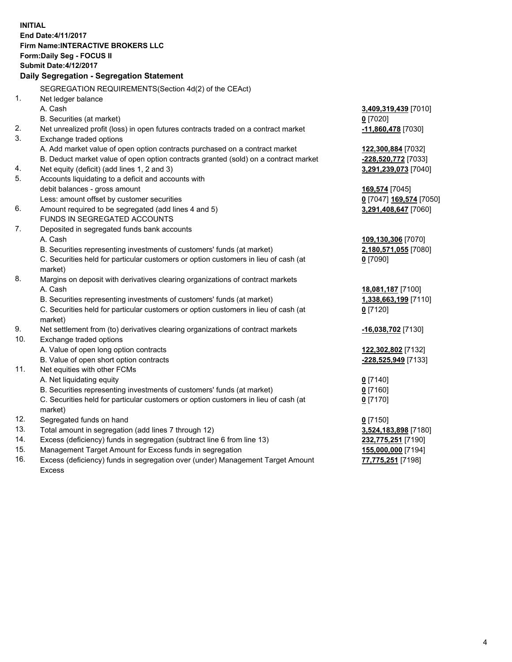**INITIAL End Date:4/11/2017 Firm Name:INTERACTIVE BROKERS LLC Form:Daily Seg - FOCUS II Submit Date:4/12/2017 Daily Segregation - Segregation Statement** SEGREGATION REQUIREMENTS(Section 4d(2) of the CEAct) 1. Net ledger balance A. Cash **3,409,319,439** [7010] B. Securities (at market) **0** [7020] 2. Net unrealized profit (loss) in open futures contracts traded on a contract market **-11,860,478** [7030] 3. Exchange traded options A. Add market value of open option contracts purchased on a contract market **122,300,884** [7032] B. Deduct market value of open option contracts granted (sold) on a contract market **-228,520,772** [7033] 4. Net equity (deficit) (add lines 1, 2 and 3) **3,291,239,073** [7040] 5. Accounts liquidating to a deficit and accounts with debit balances - gross amount **169,574** [7045] Less: amount offset by customer securities **0** [7047] **169,574** [7050] 6. Amount required to be segregated (add lines 4 and 5) **3,291,408,647** [7060] FUNDS IN SEGREGATED ACCOUNTS 7. Deposited in segregated funds bank accounts A. Cash **109,130,306** [7070] B. Securities representing investments of customers' funds (at market) **2,180,571,055** [7080] C. Securities held for particular customers or option customers in lieu of cash (at market) **0** [7090] 8. Margins on deposit with derivatives clearing organizations of contract markets A. Cash **18,081,187** [7100] B. Securities representing investments of customers' funds (at market) **1,338,663,199** [7110] C. Securities held for particular customers or option customers in lieu of cash (at market) **0** [7120] 9. Net settlement from (to) derivatives clearing organizations of contract markets **-16,038,702** [7130] 10. Exchange traded options A. Value of open long option contracts **122,302,802** [7132] B. Value of open short option contracts **-228,525,949** [7133] 11. Net equities with other FCMs A. Net liquidating equity **0** [7140] B. Securities representing investments of customers' funds (at market) **0** [7160] C. Securities held for particular customers or option customers in lieu of cash (at market) **0** [7170] 12. Segregated funds on hand **0** [7150] 13. Total amount in segregation (add lines 7 through 12) **3,524,183,898** [7180] 14. Excess (deficiency) funds in segregation (subtract line 6 from line 13) **232,775,251** [7190] 15. Management Target Amount for Excess funds in segregation **155,000,000** [7194] **77,775,251** [7198]

16. Excess (deficiency) funds in segregation over (under) Management Target Amount Excess